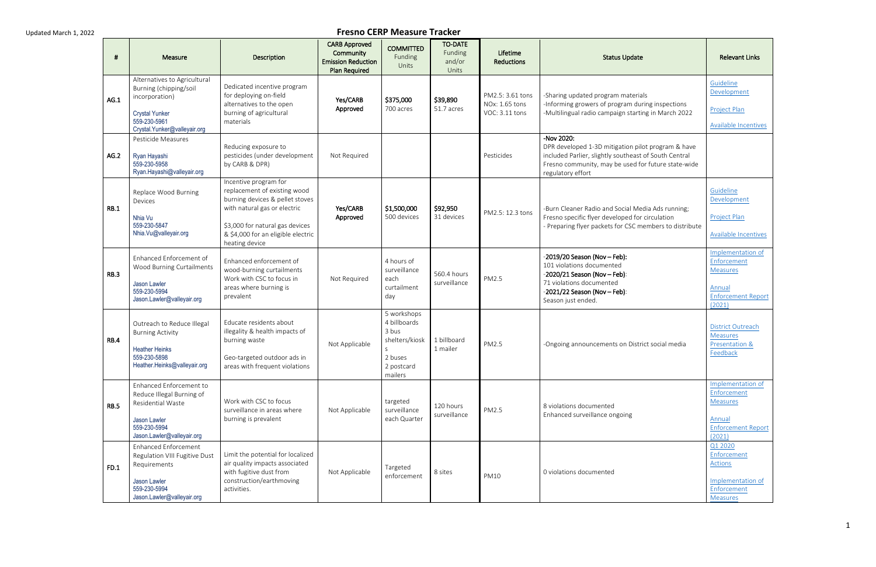| -#          | Measure                                                                                                                                           | Description                                                                                                                                                                                                         | <b>CARB Approved</b><br>Community<br><b>Emission Reduction</b><br><b>Plan Required</b> | <b>COMMITTED</b><br>Funding<br>Units                                                             | <b>TO-DATE</b><br>Funding<br>and/or<br>Units | Lifetime<br><b>Reductions</b>                        | <b>Status Update</b>                                                                                                                                                                                  | <b>Relevant Links</b>                                                                                |
|-------------|---------------------------------------------------------------------------------------------------------------------------------------------------|---------------------------------------------------------------------------------------------------------------------------------------------------------------------------------------------------------------------|----------------------------------------------------------------------------------------|--------------------------------------------------------------------------------------------------|----------------------------------------------|------------------------------------------------------|-------------------------------------------------------------------------------------------------------------------------------------------------------------------------------------------------------|------------------------------------------------------------------------------------------------------|
| AG.1        | Alternatives to Agricultural<br>Burning (chipping/soil<br>incorporation)<br><b>Crystal Yunker</b><br>559-230-5961<br>Crystal.Yunker@valleyair.org | Dedicated incentive program<br>for deploying on-field<br>alternatives to the open<br>burning of agricultural<br>materials                                                                                           | Yes/CARB<br>Approved                                                                   | \$375,000<br>700 acres                                                                           | \$39,890<br>51.7 acres                       | PM2.5: 3.61 tons<br>NOx: 1.65 tons<br>VOC: 3.11 tons | -Sharing updated program materials<br>-Informing growers of program during inspections<br>-Multilingual radio campaign starting in March 2022                                                         | Guideline<br>Development<br>Project Plan<br>Available Incentives                                     |
| AG.2        | Pesticide Measures<br>Ryan Hayashi<br>559-230-5958<br>Ryan.Hayashi@valleyair.org                                                                  | Reducing exposure to<br>pesticides (under development<br>by CARB & DPR)                                                                                                                                             | Not Required                                                                           |                                                                                                  |                                              | Pesticides                                           | -Nov 2020:<br>DPR developed 1-3D mitigation pilot program & have<br>included Parlier, slightly southeast of South Central<br>Fresno community, may be used for future state-wide<br>regulatory effort |                                                                                                      |
| RB.1        | Replace Wood Burning<br>Devices<br>Nhia Vu<br>559-230-5847<br>Nhia.Vu@valleyair.org                                                               | Incentive program for<br>replacement of existing wood<br>burning devices & pellet stoves<br>with natural gas or electric<br>\$3,000 for natural gas devices<br>& \$4,000 for an eligible electric<br>heating device | Yes/CARB<br>Approved                                                                   | \$1,500,000<br>500 devices                                                                       | \$92,950<br>31 devices                       | PM2.5: 12.3 tons                                     | -Burn Cleaner Radio and Social Media Ads running;<br>Fresno specific flyer developed for circulation<br>- Preparing flyer packets for CSC members to distribute                                       | Guideline<br>Development<br>Project Plan<br>Available Incentives                                     |
| <b>RB.3</b> | Enhanced Enforcement of<br>Wood Burning Curtailments<br>Jason Lawler<br>559-230-5994<br>Jason.Lawler@valleyair.org                                | Enhanced enforcement of<br>wood-burning curtailments<br>Work with CSC to focus in<br>areas where burning is<br>prevalent                                                                                            | Not Required                                                                           | 4 hours of<br>surveillance<br>each<br>curtailment<br>day                                         | 560.4 hours<br>surveillance                  | PM2.5                                                | $-2019/20$ Season (Nov - Feb):<br>101 violations documented<br>$-2020/21$ Season (Nov - Feb):<br>71 violations documented<br>$-2021/22$ Season (Nov - Feb):<br>Season just ended.                     | Implementation of<br>Enforcement<br><b>Measures</b><br>Annual<br><b>Enforcement Report</b><br>(2021) |
| <b>RB.4</b> | Outreach to Reduce Illegal<br><b>Burning Activity</b><br><b>Heather Heinks</b><br>559-230-5898<br>Heather.Heinks@valleyair.org                    | Educate residents about<br>illegality & health impacts of<br>burning waste<br>Geo-targeted outdoor ads in<br>areas with frequent violations                                                                         | Not Applicable                                                                         | 5 workshops<br>4 billboards<br>3 bus<br>shelters/kiosk<br>S.<br>2 buses<br>2 postcard<br>mailers | 1 billboard<br>1 mailer                      | PM2.5                                                | -Ongoing announcements on District social media                                                                                                                                                       | <b>District Outreach</b><br><b>Measures</b><br>Presentation &<br>Feedback                            |
| <b>RB.5</b> | Enhanced Enforcement to<br>Reduce Illegal Burning of<br>Residential Waste<br>Jason Lawler<br>559-230-5994<br>Jason.Lawler@valleyair.org           | Work with CSC to focus<br>surveillance in areas where<br>burning is prevalent                                                                                                                                       | Not Applicable                                                                         | targeted<br>surveillance<br>each Quarter                                                         | 120 hours<br>surveillance                    | PM2.5                                                | 8 violations documented<br>Enhanced surveillance ongoing                                                                                                                                              | Implementation of<br>Enforcement<br>Measures<br>Annual<br><b>Enforcement Report</b><br>(2021)        |
| FD.1        | <b>Enhanced Enforcement</b><br>Regulation VIII Fugitive Dust<br>Requirements<br>Jason Lawler<br>559-230-5994<br>Jason.Lawler@valleyair.org        | Limit the potential for localized<br>air quality impacts associated<br>with fugitive dust from<br>construction/earthmoving<br>activities.                                                                           | Not Applicable                                                                         | Targeted<br>enforcement                                                                          | 8 sites                                      | <b>PM10</b>                                          | 0 violations documented                                                                                                                                                                               | Q1 2020<br>Enforcement<br>Actions<br>Implementation of<br>Enforcement<br><b>Measures</b>             |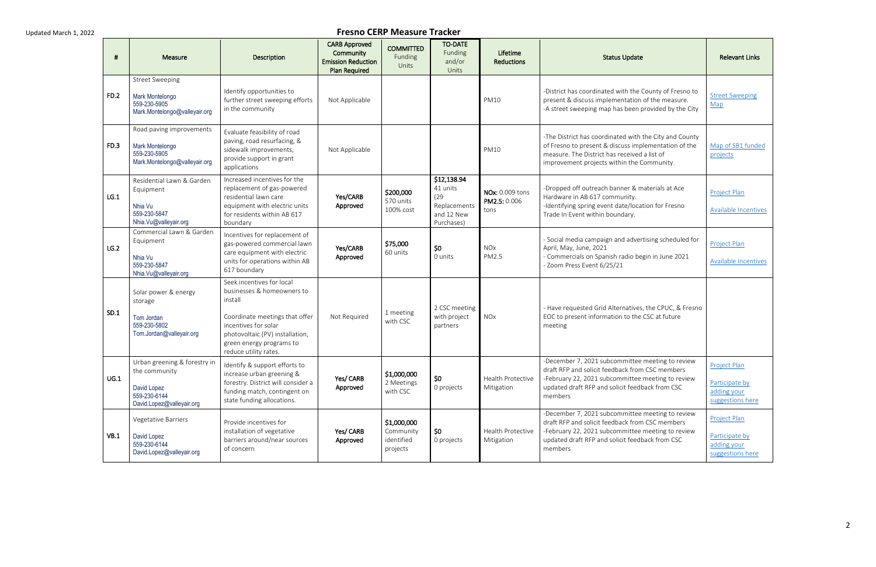| #           | Measure                                                                                                   | Description                                                                                                                                                                                                          | <b>CARB Approved</b><br>Community<br><b>Emission Reduction</b><br><b>Plan Required</b> | <b>COMMITTED</b><br>Funding<br>Units               | <b>TO-DATE</b><br>Funding<br>and/or<br>Units                                | Lifetime<br><b>Reductions</b>                  | <b>Status Update</b>                                                                                                                                                                                                   | <b>Relevant Links</b>                                                    |
|-------------|-----------------------------------------------------------------------------------------------------------|----------------------------------------------------------------------------------------------------------------------------------------------------------------------------------------------------------------------|----------------------------------------------------------------------------------------|----------------------------------------------------|-----------------------------------------------------------------------------|------------------------------------------------|------------------------------------------------------------------------------------------------------------------------------------------------------------------------------------------------------------------------|--------------------------------------------------------------------------|
| <b>FD.2</b> | <b>Street Sweeping</b><br>Mark Montelongo<br>559-230-5905<br>Mark.Montelongo@valleyair.org                | Identify opportunities to<br>further street sweeping efforts<br>in the community                                                                                                                                     | Not Applicable                                                                         |                                                    |                                                                             | <b>PM10</b>                                    | -District has coordinated with the County of Fresno to<br>present & discuss implementation of the measure.<br>-A street sweeping map has been provided by the City                                                     | <b>Street Sweeping</b><br>Map                                            |
| FD.3        | Road paving improvements<br>Mark Montelongo<br>559-230-5905<br>Mark.Montelongo@valleyair.org              | Evaluate feasibility of road<br>paving, road resurfacing, &<br>sidewalk improvements,<br>provide support in grant<br>applications                                                                                    | Not Applicable                                                                         |                                                    |                                                                             | <b>PM10</b>                                    | -The District has coordinated with the City and County<br>of Fresno to present & discuss implementation of the<br>measure. The District has received a list of<br>improvement projects within the Community.           | Map of SB1 funded<br>projects                                            |
| LG.1        | Residential Lawn & Garden<br>Equipment<br>Nhia Vu<br>559-230-5847<br>Nhia.Vu@valleyair.org                | Increased incentives for the<br>replacement of gas-powered<br>residential lawn care<br>equipment with electric units<br>for residents within AB 617<br>boundary                                                      | Yes/CARB<br>Approved                                                                   | \$200,000<br>570 units<br>100% cost                | \$12,138.94<br>41 units<br>(29)<br>Replacements<br>and 12 New<br>Purchases) | <b>NOx: 0.009 tons</b><br>PM2.5: 0.006<br>tons | -Dropped off outreach banner & materials at Ace<br>Hardware in AB 617 community.<br>-Identifying spring event date/location for Fresno<br>Trade In Event within boundary.                                              | Project Plan<br><b>Available Incentives</b>                              |
| LG.2        | Commercial Lawn & Garden<br>Equipment<br>Nhia Vu<br>559-230-5847<br>Nhia.Vu@valleyair.org                 | Incentives for replacement of<br>gas-powered commercial lawn<br>care equipment with electric<br>units for operations within AB<br>617 boundary                                                                       | Yes/CARB<br>Approved                                                                   | \$75,000<br>60 units                               | \$0<br>0 units                                                              | <b>NO<sub>x</sub></b><br>PM2.5                 | - Social media campaign and advertising scheduled for<br>April, May, June, 2021<br>- Commercials on Spanish radio begin in June 2021<br>- Zoom Press Event 6/25/21                                                     | Project Plan<br>Available Incentives                                     |
| SD.1        | Solar power & energy<br>storage<br>Tom Jordan<br>559-230-5802<br>Tom.Jordan@valleyair.org                 | Seek incentives for local<br>businesses & homeowners to<br>install<br>Coordinate meetings that offer<br>incentives for solar<br>photovoltaic (PV) installation,<br>green energy programs to<br>reduce utility rates. | Not Required                                                                           | 1 meeting<br>with CSC                              | 2 CSC meeting<br>with project<br>partners                                   | <b>NOx</b>                                     | - Have requested Grid Alternatives, the CPUC, & Fresno<br>EOC to present information to the CSC at future<br>meeting                                                                                                   |                                                                          |
| UG.1        | Urban greening & forestry in<br>the community<br>David Lopez<br>559-230-6144<br>David.Lopez@valleyair.org | Identify & support efforts to<br>increase urban greening &<br>forestry. District will consider a<br>funding match, contingent on<br>state funding allocations.                                                       | Yes/ CARB<br>Approved                                                                  | \$1,000,000<br>2 Meetings<br>with CSC              | \$0<br>0 projects                                                           | <b>Health Protective</b><br>Mitigation         | -December 7, 2021 subcommittee meeting to review<br>draft RFP and solicit feedback from CSC members<br>-February 22, 2021 subcommittee meeting to review<br>updated draft RFP and solicit feedback from CSC<br>members | <b>Project Plan</b><br>Participate by<br>adding your<br>suggestions here |
| VB.1        | Vegetative Barriers<br>David Lopez<br>559-230-6144<br>David.Lopez@valleyair.org                           | Provide incentives for<br>installation of vegetative<br>barriers around/near sources<br>of concern                                                                                                                   | Yes/ CARB<br>Approved                                                                  | \$1,000,000<br>Community<br>identified<br>projects | \$0<br>0 projects                                                           | Health Protective<br>Mitigation                | -December 7, 2021 subcommittee meeting to review<br>draft RFP and solicit feedback from CSC members<br>-February 22, 2021 subcommittee meeting to review<br>updated draft RFP and solicit feedback from CSC<br>members | Project Plan<br>Participate by<br>adding your<br>suggestions here        |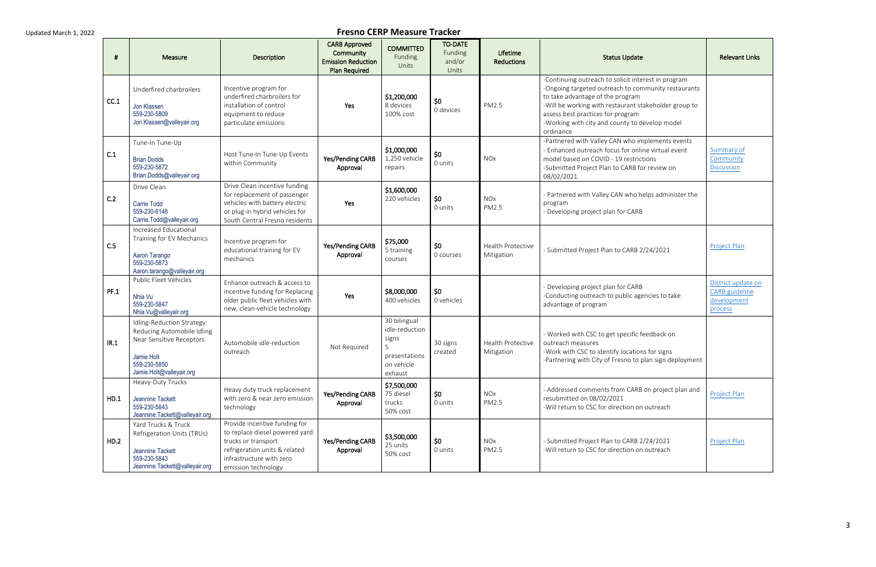| #    | Measure                                                                                                                                        | Description                                                                                                                                                                | <b>CARB Approved</b><br>Community<br><b>Emission Reduction</b><br><b>Plan Required</b> | <b>COMMITTED</b><br>Funding<br>Units                                                   | <b>TO-DATE</b><br>Funding<br>and/or<br>Units | Lifetime<br><b>Reductions</b>          | <b>Status Update</b>                                                                                                                                                                                                                                                                                        | <b>Relevant Links</b>                                                 |
|------|------------------------------------------------------------------------------------------------------------------------------------------------|----------------------------------------------------------------------------------------------------------------------------------------------------------------------------|----------------------------------------------------------------------------------------|----------------------------------------------------------------------------------------|----------------------------------------------|----------------------------------------|-------------------------------------------------------------------------------------------------------------------------------------------------------------------------------------------------------------------------------------------------------------------------------------------------------------|-----------------------------------------------------------------------|
| CC.1 | Underfired charbroilers<br>Jon Klassen<br>559-230-5809<br>Jon.Klassen@valleyair.org                                                            | Incentive program for<br>underfired charbroilers for<br>installation of control<br>equipment to reduce<br>particulate emissions                                            | Yes                                                                                    | \$1,200,000<br>8 devices<br>100% cost                                                  | 50<br>0 devices                              | PM2.5                                  | -Continuing outreach to solicit interest in program<br>-Ongoing targeted outreach to community restaurants<br>to take advantage of the program<br>-Will be working with restaurant stakeholder group to<br>assess best practices for program<br>-Working with city and county to develop model<br>ordinance |                                                                       |
| C.1  | Tune-In Tune-Up<br><b>Brian Dodds</b><br>559-230-5872<br>Brian.Dodds@valleyair.org                                                             | Host Tune-In Tune-Up Events<br>within Community                                                                                                                            | Yes/Pending CARB<br>Approval                                                           | \$1,000,000<br>1,250 vehicle<br>repairs                                                | \$0<br>0 units                               | <b>NOx</b>                             | -Partnered with Valley CAN who implements events<br>- Enhanced outreach focus for online virtual event<br>model based on COVID - 19 restrictions<br>-Submitted Project Plan to CARB for review on<br>08/02/2021.                                                                                            | Summary of<br>Community<br><b>Discussion</b>                          |
| C.2  | Drive Clean<br><b>Carrie Todd</b><br>559-230-6148<br>Carrie.Todd@valleyair.org                                                                 | Drive Clean incentive funding<br>for replacement of passenger<br>vehicles with battery electric<br>or plug-in hybrid vehicles for<br>South Central Fresno residents        | Yes                                                                                    | \$1,600,000<br>220 vehicles                                                            | \$0<br>0 units                               | <b>NOx</b><br>PM2.5                    | - Partnered with Valley CAN who helps administer the<br>program<br>- Developing project plan for CARB                                                                                                                                                                                                       |                                                                       |
| C.5  | Increased Educational<br>Training for EV Mechanics<br>Aaron Tarango<br>559-230-5873<br>Aaron.tarango@valleyair.org                             | Incentive program for<br>educational training for EV<br>mechanics                                                                                                          | Yes/Pending CARB<br>Approval                                                           | \$75,000<br>5 training<br>courses                                                      | \$0<br>0 courses                             | <b>Health Protective</b><br>Mitigation | - Submitted Project Plan to CARB 2/24/2021                                                                                                                                                                                                                                                                  | Project Plan                                                          |
| PF.1 | Public Fleet Vehicles<br>Nhia Vu<br>559-230-5847<br>Nhia.Vu@valleyair.org                                                                      | Enhance outreach & access to<br>incentive funding for Replacing<br>older public fleet vehicles with<br>new, clean-vehicle technology                                       | Yes                                                                                    | \$8,000,000<br>400 vehicles                                                            | \$0<br>0 vehicles                            |                                        | - Developing project plan for CARB<br>-Conducting outreach to public agencies to take<br>advantage of program                                                                                                                                                                                               | District update on<br><b>CARB</b> guideline<br>development<br>process |
| IR.1 | Idling-Reduction Strategy:<br>Reducing Automobile Idling<br>Near Sensitive Receptors<br>Jamie Holt<br>559-230-5850<br>Jamie.Holt@valleyair.org | Automobile idle-reduction<br>outreach                                                                                                                                      | Not Required                                                                           | 30 bilingual<br>idle-reduction<br>signs<br>5<br>presentations<br>on vehicle<br>exhaust | 30 signs<br>created                          | Health Protective<br>Mitigation        | - Worked with CSC to get specific feedback on<br>outreach measures<br>-Work with CSC to identify locations for signs<br>-Partnering with City of Fresno to plan sign deployment                                                                                                                             |                                                                       |
| HD.1 | Heavy-Duty Trucks<br>Jeannine Tackett<br>559-230-5843<br>Jeannine.Tackett@valleyair.org                                                        | Heavy duty truck replacement<br>with zero & near zero emission<br>technology                                                                                               | Yes/Pending CARB<br>Approval                                                           | \$7,500,000<br>75 diesel<br>trucks<br>50% cost                                         | \$0<br>0 units                               | <b>NOx</b><br>PM2.5                    | - Addressed comments from CARB on project plan and<br>resubmitted on 08/02/2021<br>-Will return to CSC for direction on outreach                                                                                                                                                                            | Project Plan                                                          |
| HD.2 | Yard Trucks & Truck<br>Refrigeration Units (TRUs)<br>Jeannine Tackett<br>559-230-5843<br>Jeannine.Tackett@valleyair.org                        | Provide incentive funding for<br>to replace diesel powered yard<br>trucks or transport<br>refrigeration units & related<br>infrastructure with zero<br>emission technology | Yes/Pending CARB<br>Approval                                                           | \$3,500,000<br>25 units<br>50% cost                                                    | \$0<br>0 units                               | NOx<br>PM2.5                           | - Submitted Project Plan to CARB 2/24/2021<br>-Will return to CSC for direction on outreach                                                                                                                                                                                                                 | Project Plan                                                          |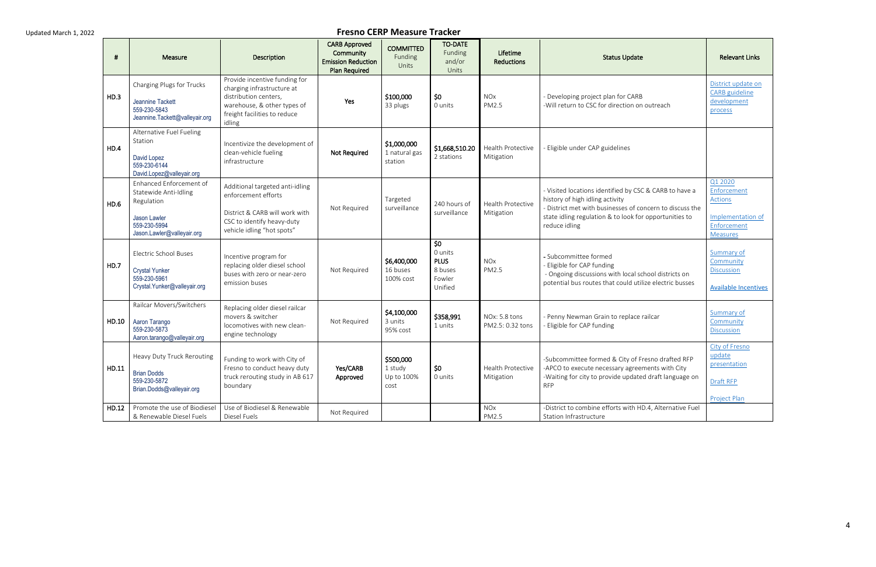| #     | Measure                                                                                                                      | Description                                                                                                                                                   | <b>CARB Approved</b><br>Community<br><b>Emission Reduction</b><br><b>Plan Required</b> | <b>COMMITTED</b><br>Funding<br>Units       | <b>TO-DATE</b><br>Funding<br>and/or<br>Units                  | Lifetime<br><b>Reductions</b>     | <b>Status Update</b>                                                                                                                                                                                                             | <b>Relevant Links</b>                                                                           |
|-------|------------------------------------------------------------------------------------------------------------------------------|---------------------------------------------------------------------------------------------------------------------------------------------------------------|----------------------------------------------------------------------------------------|--------------------------------------------|---------------------------------------------------------------|-----------------------------------|----------------------------------------------------------------------------------------------------------------------------------------------------------------------------------------------------------------------------------|-------------------------------------------------------------------------------------------------|
| HD.3  | Charging Plugs for Trucks<br>Jeannine Tackett<br>559-230-5843<br>Jeannine.Tackett@valleyair.org                              | Provide incentive funding for<br>charging infrastructure at<br>distribution centers,<br>warehouse, & other types of<br>freight facilities to reduce<br>idling | Yes                                                                                    | \$100,000<br>33 plugs                      | \$0<br>0 units                                                | <b>NOx</b><br>PM2.5               | - Developing project plan for CARB<br>-Will return to CSC for direction on outreach                                                                                                                                              | District update on<br>CARB guideline<br>development<br>process                                  |
| HD.4  | Alternative Fuel Fueling<br>Station<br>David Lopez<br>559-230-6144<br>David.Lopez@valleyair.org                              | Incentivize the development of<br>clean-vehicle fueling<br>infrastructure                                                                                     | Not Required                                                                           | \$1,000,000<br>1 natural gas<br>station    | \$1,668,510.20<br>2 stations                                  | Health Protective<br>Mitigation   | - Eligible under CAP guidelines                                                                                                                                                                                                  |                                                                                                 |
| HD.6  | Enhanced Enforcement of<br>Statewide Anti-Idling<br>Regulation<br>Jason Lawler<br>559-230-5994<br>Jason.Lawler@valleyair.org | Additional targeted anti-idling<br>enforcement efforts<br>District & CARB will work with<br>CSC to identify heavy-duty<br>vehicle idling "hot spots"          | Not Required                                                                           | Targeted<br>surveillance                   | 240 hours of<br>surveillance                                  | Health Protective<br>Mitigation   | - Visited locations identified by CSC & CARB to have a<br>history of high idling activity<br>- District met with businesses of concern to discuss the<br>state idling regulation & to look for opportunities to<br>reduce idling | Q1 2020<br>Enforcement<br><b>Actions</b><br>Implementation of<br>Enforcement<br><b>Measures</b> |
| HD.7  | <b>Electric School Buses</b><br><b>Crystal Yunker</b><br>559-230-5961<br>Crystal.Yunker@valleyair.org                        | Incentive program for<br>replacing older diesel school<br>buses with zero or near-zero<br>emission buses                                                      | Not Required                                                                           | \$6,400,000<br>16 buses<br>100% cost       | \$0<br>0 units<br><b>PLUS</b><br>8 buses<br>Fowler<br>Unified | <b>NOx</b><br>PM2.5               | - Subcommittee formed<br>- Eligible for CAP funding<br>- Ongoing discussions with local school districts on<br>potential bus routes that could utilize electric busses                                                           | Summary of<br>Community<br><b>Discussion</b><br><b>Available Incentives</b>                     |
| HD.10 | Railcar Movers/Switchers<br>Aaron Tarango<br>559-230-5873<br>Aaron.tarango@valleyair.org                                     | Replacing older diesel railcar<br>movers & switcher<br>locomotives with new clean-<br>engine technology                                                       | Not Required                                                                           | \$4,100,000<br>3 units<br>95% cost         | \$358,991<br>1 units                                          | NOx: 5.8 tons<br>PM2.5: 0.32 tons | - Penny Newman Grain to replace railcar<br>- Eligible for CAP funding                                                                                                                                                            | Summary of<br>Community<br><b>Discussion</b>                                                    |
| HD.11 | Heavy Duty Truck Rerouting<br><b>Brian Dodds</b><br>559-230-5872<br>Brian.Dodds@valleyair.org                                | Funding to work with City of<br>Fresno to conduct heavy duty<br>truck rerouting study in AB 617<br>boundary                                                   | Yes/CARB<br>Approved                                                                   | \$500,000<br>1 study<br>Up to 100%<br>cost | \$0<br>0 units                                                | Health Protective<br>Mitigation   | -Subcommittee formed & City of Fresno drafted RFP<br>-APCO to execute necessary agreements with City<br>-Waiting for city to provide updated draft language on<br><b>RFP</b>                                                     | City of Fresno<br>update<br>presentation<br>Draft RFP<br><b>Project Plan</b>                    |
| HD.12 | Promote the use of Biodiesel<br>& Renewable Diesel Fuels                                                                     | Use of Biodiesel & Renewable<br>Diesel Fuels                                                                                                                  | Not Required                                                                           |                                            |                                                               | <b>NOx</b><br>PM2.5               | -District to combine efforts with HD.4, Alternative Fuel<br>Station Infrastructure                                                                                                                                               |                                                                                                 |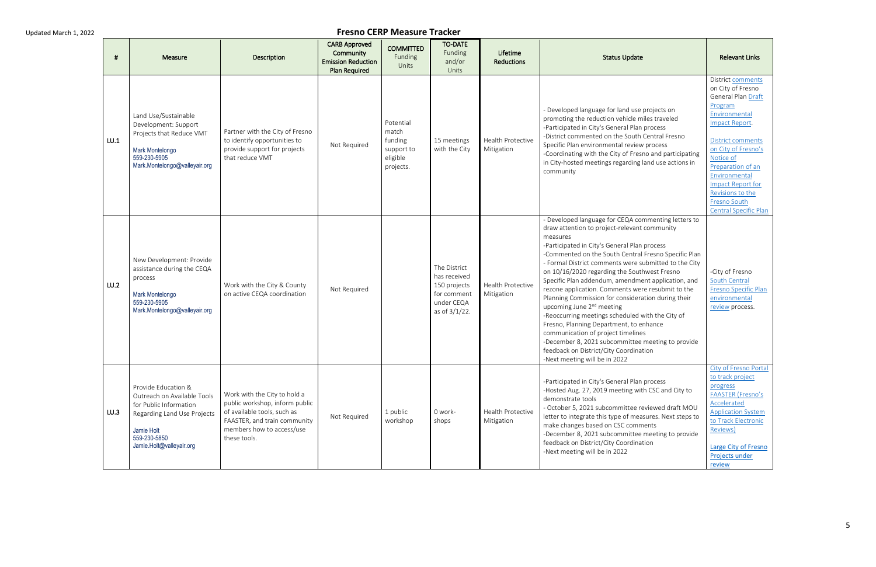| #    | Measure                                                                                                                                                               | <b>Description</b>                                                                                                                                                         | <b>CARB Approved</b><br>Community<br><b>Emission Reduction</b><br><b>Plan Required</b> | <b>COMMITTED</b><br>Funding<br>Units                                 | <b>TO-DATE</b><br>Funding<br>and/or<br>Units                                               | Lifetime<br><b>Reductions</b>   | <b>Status Update</b>                                                                                                                                                                                                                                                                                                                                                                                                                                                                                                                                                                                                                                                                                                                                                                                            | <b>Relevant Links</b>                                                                                                                                                                                                                                                                                            |
|------|-----------------------------------------------------------------------------------------------------------------------------------------------------------------------|----------------------------------------------------------------------------------------------------------------------------------------------------------------------------|----------------------------------------------------------------------------------------|----------------------------------------------------------------------|--------------------------------------------------------------------------------------------|---------------------------------|-----------------------------------------------------------------------------------------------------------------------------------------------------------------------------------------------------------------------------------------------------------------------------------------------------------------------------------------------------------------------------------------------------------------------------------------------------------------------------------------------------------------------------------------------------------------------------------------------------------------------------------------------------------------------------------------------------------------------------------------------------------------------------------------------------------------|------------------------------------------------------------------------------------------------------------------------------------------------------------------------------------------------------------------------------------------------------------------------------------------------------------------|
| LU.1 | Land Use/Sustainable<br>Development: Support<br>Projects that Reduce VMT<br>Mark Montelongo<br>559-230-5905<br>Mark.Montelongo@valleyair.org                          | Partner with the City of Fresno<br>to identify opportunities to<br>provide support for projects<br>that reduce VMT                                                         | Not Required                                                                           | Potential<br>match<br>funding<br>support to<br>eligible<br>projects. | 15 meetings<br>with the City                                                               | Health Protective<br>Mitigation | - Developed language for land use projects on<br>promoting the reduction vehicle miles traveled<br>-Participated in City's General Plan process<br>-District commented on the South Central Fresno<br>Specific Plan environmental review process<br>-Coordinating with the City of Fresno and participating<br>in City-hosted meetings regarding land use actions in<br>community                                                                                                                                                                                                                                                                                                                                                                                                                               | District comments<br>on City of Fresno<br>General Plan Draft<br>Program<br>Environmental<br>Impact Report.<br><b>District comments</b><br>on City of Fresno's<br>Notice of<br>Preparation of an<br>Environmental<br><b>Impact Report for</b><br>Revisions to the<br>Fresno South<br><b>Central Specific Plan</b> |
| LU.2 | New Development: Provide<br>assistance during the CEQA<br>process<br>Mark Montelongo<br>559-230-5905<br>Mark.Montelongo@valleyair.org                                 | Work with the City & County<br>on active CEQA coordination                                                                                                                 | Not Required                                                                           |                                                                      | The District<br>has received<br>150 projects<br>for comment<br>under CEQA<br>as of 3/1/22. | Health Protective<br>Mitigation | - Developed language for CEQA commenting letters to<br>draw attention to project-relevant community<br>measures<br>-Participated in City's General Plan process<br>-Commented on the South Central Fresno Specific Plan<br>- Formal District comments were submitted to the City<br>on 10/16/2020 regarding the Southwest Fresno<br>Specific Plan addendum, amendment application, and<br>rezone application. Comments were resubmit to the<br>Planning Commission for consideration during their<br>upcoming June 2 <sup>nd</sup> meeting<br>-Reoccurring meetings scheduled with the City of<br>Fresno, Planning Department, to enhance<br>communication of project timelines<br>-December 8, 2021 subcommittee meeting to provide<br>feedback on District/City Coordination<br>-Next meeting will be in 2022 | -City of Fresno<br>South Central<br>Fresno Specific Plan<br>environmental<br>review process.                                                                                                                                                                                                                     |
| LU.3 | Provide Education &<br>Outreach on Available Tools<br>for Public Information<br>Regarding Land Use Projects<br>Jamie Holt<br>559-230-5850<br>Jamie.Holt@valleyair.org | Work with the City to hold a<br>public workshop, inform public<br>of available tools, such as<br>FAASTER, and train community<br>members how to access/use<br>these tools. | Not Required                                                                           | 1 public<br>workshop                                                 | 0 work-<br>shops                                                                           | Health Protective<br>Mitigation | -Participated in City's General Plan process<br>-Hosted Aug. 27, 2019 meeting with CSC and City to<br>demonstrate tools<br>- October 5, 2021 subcommittee reviewed draft MOU<br>letter to integrate this type of measures. Next steps to<br>make changes based on CSC comments<br>-December 8, 2021 subcommittee meeting to provide<br>feedback on District/City Coordination<br>-Next meeting will be in 2022                                                                                                                                                                                                                                                                                                                                                                                                  | City of Fresno Portal<br>to track project<br>progress<br><b>FAASTER (Fresno's</b><br>Accelerated<br><b>Application System</b><br>to Track Electronic<br>Reviews)<br>Large City of Fresno<br>Projects under<br>review                                                                                             |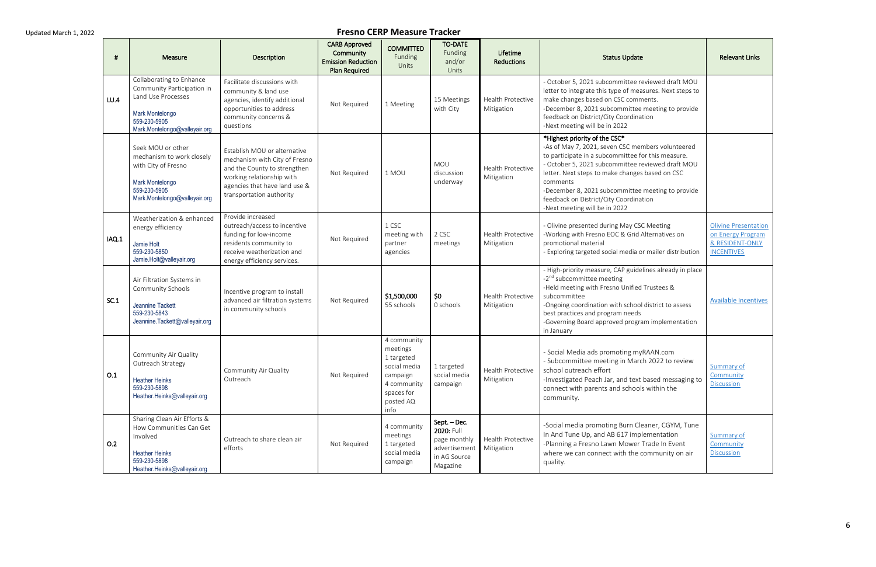| - 11  | Measure                                                                                                                                          | <b>Description</b>                                                                                                                                                                      | <b>CARB Approved</b><br>Community<br><b>Emission Reduction</b><br><b>Plan Required</b> | <b>COMMITTED</b><br>Funding<br>Units                                                                                | <b>TO-DATE</b><br>Funding<br>and/or<br>Units                                            | Lifetime<br><b>Reductions</b>          | <b>Status Update</b>                                                                                                                                                                                                                                                                                                                                                                         | <b>Relevant Links</b>                                                                    |
|-------|--------------------------------------------------------------------------------------------------------------------------------------------------|-----------------------------------------------------------------------------------------------------------------------------------------------------------------------------------------|----------------------------------------------------------------------------------------|---------------------------------------------------------------------------------------------------------------------|-----------------------------------------------------------------------------------------|----------------------------------------|----------------------------------------------------------------------------------------------------------------------------------------------------------------------------------------------------------------------------------------------------------------------------------------------------------------------------------------------------------------------------------------------|------------------------------------------------------------------------------------------|
| LU.4  | Collaborating to Enhance<br>Community Participation in<br>Land Use Processes<br>Mark Montelongo<br>559-230-5905<br>Mark.Montelongo@valleyair.org | Facilitate discussions with<br>community & land use<br>agencies, identify additional<br>opportunities to address<br>community concerns &<br>questions                                   | Not Required                                                                           | 1 Meeting                                                                                                           | 15 Meetings<br>with City                                                                | Health Protective<br>Mitigation        | - October 5, 2021 subcommittee reviewed draft MOU<br>letter to integrate this type of measures. Next steps to<br>make changes based on CSC comments.<br>-December 8, 2021 subcommittee meeting to provide<br>feedback on District/City Coordination<br>-Next meeting will be in 2022                                                                                                         |                                                                                          |
|       | Seek MOU or other<br>mechanism to work closely<br>with City of Fresno<br>Mark Montelongo<br>559-230-5905<br>Mark.Montelongo@valleyair.org        | Establish MOU or alternative<br>mechanism with City of Fresno<br>and the County to strengthen<br>working relationship with<br>agencies that have land use &<br>transportation authority | Not Required                                                                           | 1 MOU                                                                                                               | <b>MOU</b><br>discussion<br>underway                                                    | Health Protective<br>Mitigation        | *Highest priority of the CSC*<br>-As of May 7, 2021, seven CSC members volunteered<br>to participate in a subcommittee for this measure.<br>- October 5, 2021 subcommittee reviewed draft MOU<br>letter. Next steps to make changes based on CSC<br>comments<br>-December 8, 2021 subcommittee meeting to provide<br>feedback on District/City Coordination<br>-Next meeting will be in 2022 |                                                                                          |
| IAQ.1 | Weatherization & enhanced<br>energy efficiency<br>Jamie Holt<br>559-230-5850<br>Jamie.Holt@valleyair.org                                         | Provide increased<br>outreach/access to incentive<br>funding for low-income<br>residents community to<br>receive weatherization and<br>energy efficiency services.                      | Not Required                                                                           | 1 CSC<br>meeting with<br>partner<br>agencies                                                                        | 2 CSC<br>meetings                                                                       | <b>Health Protective</b><br>Mitigation | - Olivine presented during May CSC Meeting<br>-Working with Fresno EOC & Grid Alternatives on<br>promotional material<br>- Exploring targeted social media or mailer distribution                                                                                                                                                                                                            | <b>Olivine Presentation</b><br>on Energy Program<br>& RESIDENT-ONLY<br><b>INCENTIVES</b> |
| SC.1  | Air Filtration Systems in<br>Community Schools<br>Jeannine Tackett<br>559-230-5843<br>Jeannine.Tackett@valleyair.org                             | Incentive program to install<br>advanced air filtration systems<br>in community schools                                                                                                 | Not Required                                                                           | \$1,500,000<br>55 schools                                                                                           | \$0<br>0 schools                                                                        | Health Protective<br>Mitigation        | - High-priority measure, CAP guidelines already in place<br>-2 <sup>nd</sup> subcommittee meeting<br>-Held meeting with Fresno Unified Trustees &<br>subcommittee<br>-Ongoing coordination with school district to assess<br>best practices and program needs<br>-Governing Board approved program implementation<br>in January                                                              | <b>Available Incentives</b>                                                              |
| O.1   | Community Air Quality<br>Outreach Strategy<br><b>Heather Heinks</b><br>559-230-5898<br>Heather.Heinks@valleyair.org                              | Community Air Quality<br>Outreach                                                                                                                                                       | Not Required                                                                           | 4 community<br>meetings<br>1 targeted<br>social media<br>campaign<br>4 community<br>spaces for<br>posted AQ<br>info | 1 targeted<br>social media<br>campaign                                                  | Health Protective<br>Mitigation        | - Social Media ads promoting myRAAN.com<br>- Subcommittee meeting in March 2022 to review<br>school outreach effort<br>-Investigated Peach Jar, and text based messaging to<br>connect with parents and schools within the<br>community.                                                                                                                                                     | <b>Summary of</b><br>Community<br><b>Discussion</b>                                      |
| O.2   | Sharing Clean Air Efforts &<br>How Communities Can Get<br>Involved<br><b>Heather Heinks</b><br>559-230-5898<br>Heather.Heinks@valleyair.org      | Outreach to share clean air<br>efforts                                                                                                                                                  | Not Required                                                                           | 4 community<br>meetings<br>1 targeted<br>social media<br>campaign                                                   | Sept. – Dec.<br>2020: Full<br>page monthly<br>advertisement<br>in AG Source<br>Magazine | Health Protective<br>Mitigation        | -Social media promoting Burn Cleaner, CGYM, Tune<br>In And Tune Up, and AB 617 implementation<br>-Planning a Fresno Lawn Mower Trade In Event<br>where we can connect with the community on air<br>quality.                                                                                                                                                                                  | Summary of<br>Community<br><b>Discussion</b>                                             |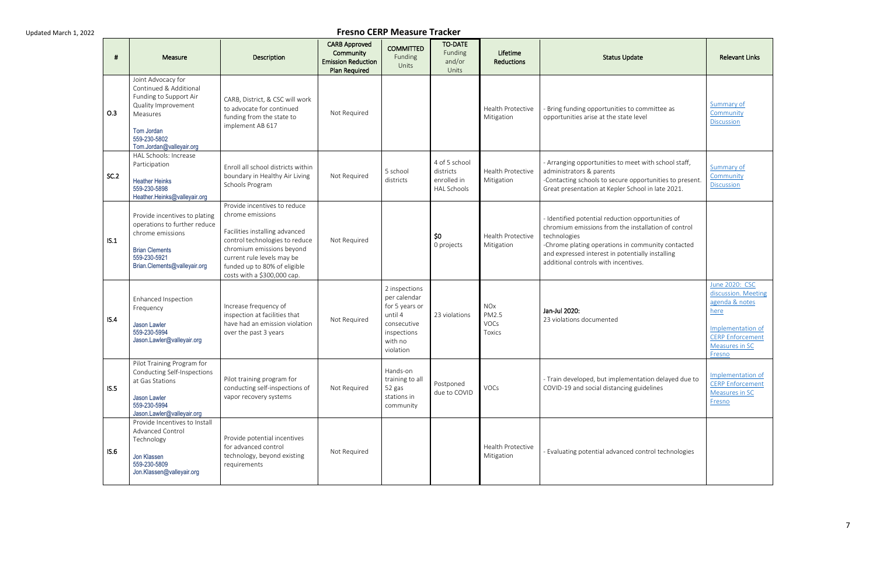| #    | Measure                                                                                                                                                             | Description                                                                                                                                                                                                                                    | <b>CARB Approved</b><br>Community<br><b>Emission Reduction</b><br>Plan Required | <b>COMMITTED</b><br>Funding<br>Units                                                                             | <b>TO-DATE</b><br>Funding<br>and/or<br>Units                    | Lifetime<br><b>Reductions</b>                       | <b>Status Update</b>                                                                                                                                                                                                                                                      | <b>Relevant Links</b>                                                                                                                       |
|------|---------------------------------------------------------------------------------------------------------------------------------------------------------------------|------------------------------------------------------------------------------------------------------------------------------------------------------------------------------------------------------------------------------------------------|---------------------------------------------------------------------------------|------------------------------------------------------------------------------------------------------------------|-----------------------------------------------------------------|-----------------------------------------------------|---------------------------------------------------------------------------------------------------------------------------------------------------------------------------------------------------------------------------------------------------------------------------|---------------------------------------------------------------------------------------------------------------------------------------------|
| O.3  | Joint Advocacy for<br>Continued & Additional<br>Funding to Support Air<br>Quality Improvement<br>Measures<br>Tom Jordan<br>559-230-5802<br>Tom.Jordan@valleyair.org | CARB, District, & CSC will work<br>to advocate for continued<br>funding from the state to<br>implement AB 617                                                                                                                                  | Not Required                                                                    |                                                                                                                  |                                                                 | Health Protective<br>Mitigation                     | Bring funding opportunities to committee as<br>opportunities arise at the state level                                                                                                                                                                                     | Summary of<br>Community<br><b>Discussion</b>                                                                                                |
| SC.2 | HAL Schools: Increase<br>Participation<br><b>Heather Heinks</b><br>559-230-5898<br>Heather.Heinks@valleyair.org                                                     | Enroll all school districts within<br>boundary in Healthy Air Living<br>Schools Program                                                                                                                                                        | Not Required                                                                    | 5 school<br>districts                                                                                            | 4 of 5 school<br>districts<br>enrolled in<br><b>HAL Schools</b> | Health Protective<br>Mitigation                     | - Arranging opportunities to meet with school staff,<br>administrators & parents<br>-Contacting schools to secure opportunities to present.<br>Great presentation at Kepler School in late 2021.                                                                          | Summary of<br>Community<br><b>Discussion</b>                                                                                                |
| IS.1 | Provide incentives to plating<br>operations to further reduce<br>chrome emissions<br><b>Brian Clements</b><br>559-230-5921<br>Brian.Clements@valleyair.org          | Provide incentives to reduce<br>chrome emissions<br>Facilities installing advanced<br>control technologies to reduce<br>chromium emissions beyond<br>current rule levels may be<br>funded up to 80% of eligible<br>costs with a \$300,000 cap. | Not Required                                                                    |                                                                                                                  | \$0<br>0 projects                                               | Health Protective<br>Mitigation                     | - Identified potential reduction opportunities of<br>chromium emissions from the installation of control<br>technologies<br>-Chrome plating operations in community contacted<br>and expressed interest in potentially installing<br>additional controls with incentives. |                                                                                                                                             |
| IS.4 | Enhanced Inspection<br>Frequency<br>Jason Lawler<br>559-230-5994<br>Jason.Lawler@valleyair.org                                                                      | Increase frequency of<br>inspection at facilities that<br>have had an emission violation<br>over the past 3 years                                                                                                                              | Not Required                                                                    | 2 inspections<br>per calendar<br>for 5 years or<br>until 4<br>consecutive<br>inspections<br>with no<br>violation | 23 violations                                                   | <b>NOx</b><br>PM2.5<br><b>VOCs</b><br><b>Toxics</b> | Jan-Jul 2020:<br>23 violations documented                                                                                                                                                                                                                                 | June 2020: CSC<br>discussion. Meeting<br>agenda & notes<br>here<br>Implementation of<br><b>CERP Enforcement</b><br>Measures in SC<br>Fresno |
| IS.5 | Pilot Training Program for<br>Conducting Self-Inspections<br>at Gas Stations<br>Jason Lawler<br>559-230-5994<br>Jason.Lawler@valleyair.org                          | Pilot training program for<br>conducting self-inspections of<br>vapor recovery systems                                                                                                                                                         | Not Required                                                                    | Hands-on<br>training to all<br>52 gas<br>stations in<br>community                                                | Postponed<br>due to COVID                                       | VOCs                                                | - Train developed, but implementation delayed due to<br>COVID-19 and social distancing guidelines                                                                                                                                                                         | Implementation of<br><b>CERP Enforcement</b><br>Measures in SC<br>Fresno                                                                    |
| IS.6 | Provide Incentives to Install<br>Advanced Control<br>Technology<br>Jon Klassen<br>559-230-5809<br>Jon.Klassen@valleyair.org                                         | Provide potential incentives<br>for advanced control<br>technology, beyond existing<br>requirements                                                                                                                                            | Not Required                                                                    |                                                                                                                  |                                                                 | Health Protective<br>Mitigation                     | Evaluating potential advanced control technologies                                                                                                                                                                                                                        |                                                                                                                                             |